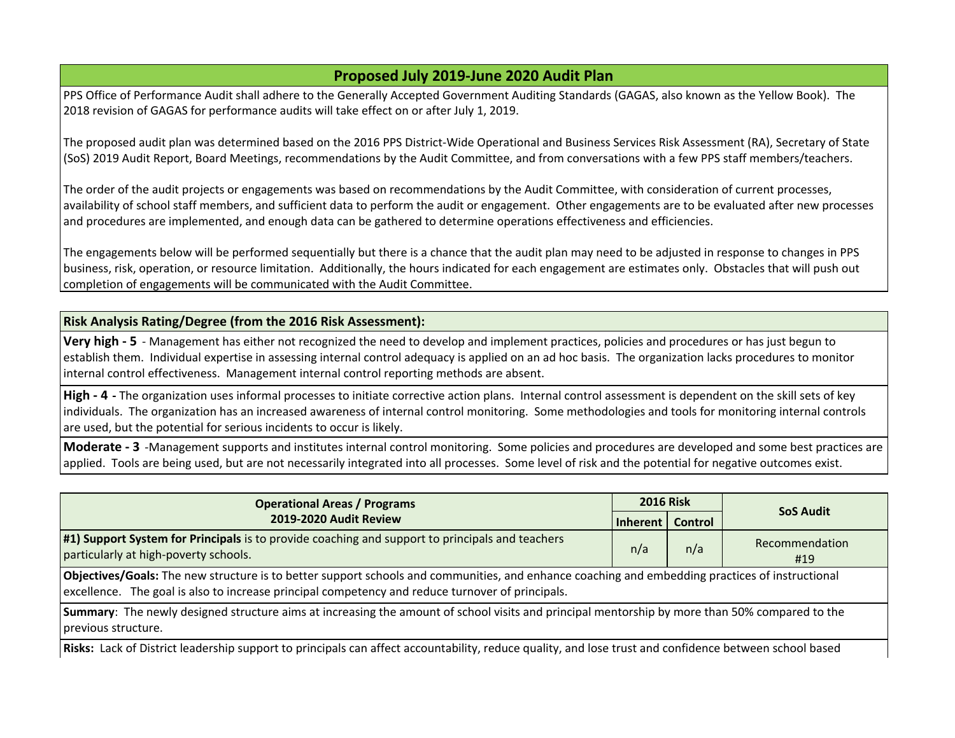# **Proposed July 2019-June 2020 Audit Plan**

PPS Office of Performance Audit shall adhere to the Generally Accepted Government Auditing Standards (GAGAS, also known as the Yellow Book). The 2018 revision of GAGAS for performance audits will take effect on or after July 1, 2019.

The proposed audit plan was determined based on the 2016 PPS District-Wide Operational and Business Services Risk Assessment (RA), Secretary of State (SoS) 2019 Audit Report, Board Meetings, recommendations by the Audit Committee, and from conversations with a few PPS staff members/teachers.

The order of the audit projects or engagements was based on recommendations by the Audit Committee, with consideration of current processes, availability of school staff members, and sufficient data to perform the audit or engagement. Other engagements are to be evaluated after new processes  $\vert$  and procedures are implemented, and enough data can be gathered to determine operations effectiveness and efficiencies.

The engagements below will be performed sequentially but there is a chance that the audit plan may need to be adjusted in response to changes in PPS business, risk, operation, or resource limitation. Additionally, the hours indicated for each engagement are estimates only. Obstacles that will push out completion of engagements will be communicated with the Audit Committee.

### **Risk Analysis Rating/Degree (from the 2016 Risk Assessment):**

**Very high - 5** - Management has either not recognized the need to develop and implement practices, policies and procedures or has just begun to establish them. Individual expertise in assessing internal control adequacy is applied on an ad hoc basis. The organization lacks procedures to monitor internal control effectiveness. Management internal control reporting methods are absent.

**High - 4 -** The organization uses informal processes to initiate corrective action plans. Internal control assessment is dependent on the skill sets of key individuals. The organization has an increased awareness of internal control monitoring. Some methodologies and tools for monitoring internal controls are used, but the potential for serious incidents to occur is likely.

**Moderate - 3** -Management supports and institutes internal control monitoring. Some policies and procedures are developed and some best practices are applied. Tools are being used, but are not necessarily integrated into all processes. Some level of risk and the potential for negative outcomes exist.

| <b>Operational Areas / Programs</b>                                                                                                                                                                                                                 | <b>2016 Risk</b> |         |                       |
|-----------------------------------------------------------------------------------------------------------------------------------------------------------------------------------------------------------------------------------------------------|------------------|---------|-----------------------|
| 2019-2020 Audit Review                                                                                                                                                                                                                              | Inherent         | Control | <b>SoS Audit</b>      |
| #1) Support System for Principals is to provide coaching and support to principals and teachers<br>particularly at high-poverty schools.                                                                                                            | n/a              | n/a     | Recommendation<br>#19 |
| Objectives/Goals: The new structure is to better support schools and communities, and enhance coaching and embedding practices of instructional<br>excellence. The goal is also to increase principal competency and reduce turnover of principals. |                  |         |                       |
| Summary: The newly designed structure aims at increasing the amount of school visits and principal mentorship by more than 50% compared to the<br>previous structure.                                                                               |                  |         |                       |
| Picker Lack of District Laadership support to principals san affect assemblability, reduce quality, and lose trust and senfidence between school based                                                                                              |                  |         |                       |

**Risks:** Lack of District leadership support to principals can affect accountability, reduce quality, and lose trust and confidence between school based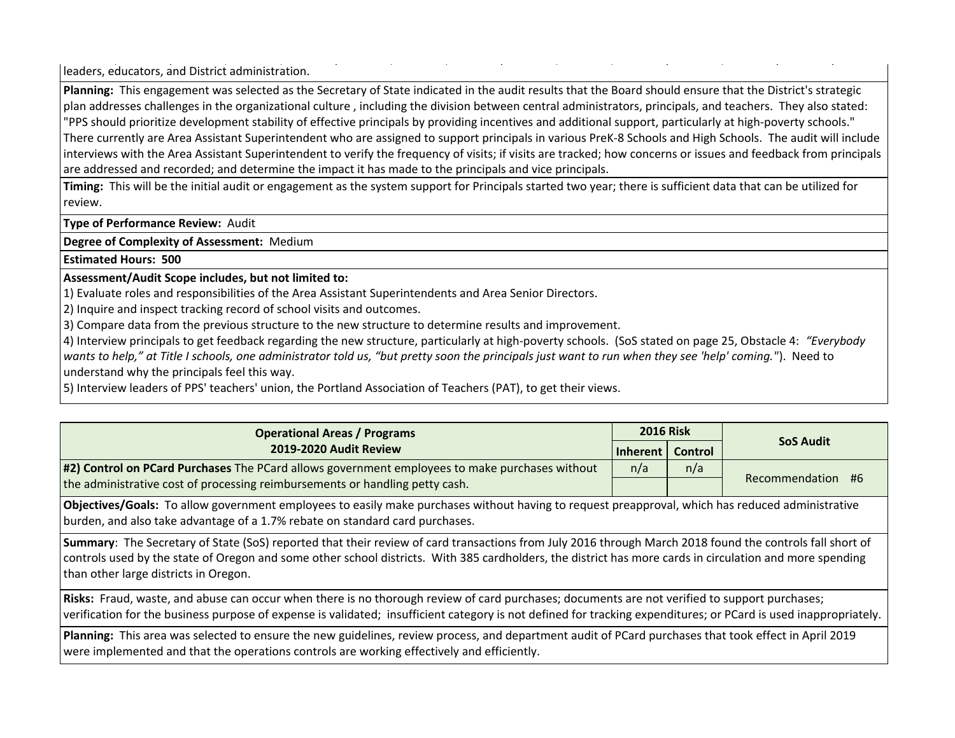leaders, educators, and District administration.

**Planning:** This engagement was selected as the Secretary of State indicated in the audit results that the Board should ensure that the District's strategic plan addresses challenges in the organizational culture , including the division between central administrators, principals, and teachers. They also stated: "PPS should prioritize development stability of effective principals by providing incentives and additional support, particularly at high-poverty schools." There currently are Area Assistant Superintendent who are assigned to support principals in various PreK-8 Schools and High Schools. The audit will include interviews with the Area Assistant Superintendent to verify the frequency of visits; if visits are tracked; how concerns or issues and feedback from principals are addressed and recorded; and determine the impact it has made to the principals and vice principals.

**Timing:** This will be the initial audit or engagement as the system support for Principals started two year; there is sufficient data that can be utilized for review.

**Type of Performance Review:** Audit

**Degree of Complexity of Assessment:** Medium

**Estimated Hours: 500**

## **Assessment/Audit Scope includes, but not limited to:**

1) Evaluate roles and responsibilities of the Area Assistant Superintendents and Area Senior Directors.

2) Inquire and inspect tracking record of school visits and outcomes.

3) Compare data from the previous structure to the new structure to determine results and improvement.

4) Interview principals to get feedback regarding the new structure, particularly at high-poverty schools. (SoS stated on page 25, Obstacle 4: *"Everybody wants to help," at Title I schools, one administrator told us, "but pretty soon the principals just want to run when they see 'help' coming."*). Need to understand why the principals feel this way.

5) Interview leaders of PPS' teachers' union, the Portland Association of Teachers (PAT), to get their views.

| <b>Operational Areas / Programs</b>                                                            | <b>2016 Risk</b>   |     |                   |  |
|------------------------------------------------------------------------------------------------|--------------------|-----|-------------------|--|
| 2019-2020 Audit Review                                                                         | Inherent   Control |     | <b>SoS Audit</b>  |  |
| #2) Control on PCard Purchases The PCard allows government employees to make purchases without | n/a                | n/a |                   |  |
| the administrative cost of processing reimbursements or handling petty cash.                   |                    |     | Recommendation #6 |  |

**Objectives/Goals:** To allow government employees to easily make purchases without having to request preapproval, which has reduced administrative burden, and also take advantage of a 1.7% rebate on standard card purchases.

**Summary**: The Secretary of State (SoS) reported that their review of card transactions from July 2016 through March 2018 found the controls fall short of controls used by the state of Oregon and some other school districts. With 385 cardholders, the district has more cards in circulation and more spending than other large districts in Oregon.

**Risks:** Fraud, waste, and abuse can occur when there is no thorough review of card purchases; documents are not verified to support purchases; verification for the business purpose of expense is validated; insufficient category is not defined for tracking expenditures; or PCard is used inappropriately.

**Planning:** This area was selected to ensure the new guidelines, review process, and department audit of PCard purchases that took effect in April 2019 were implemented and that the operations controls are working effectively and efficiently.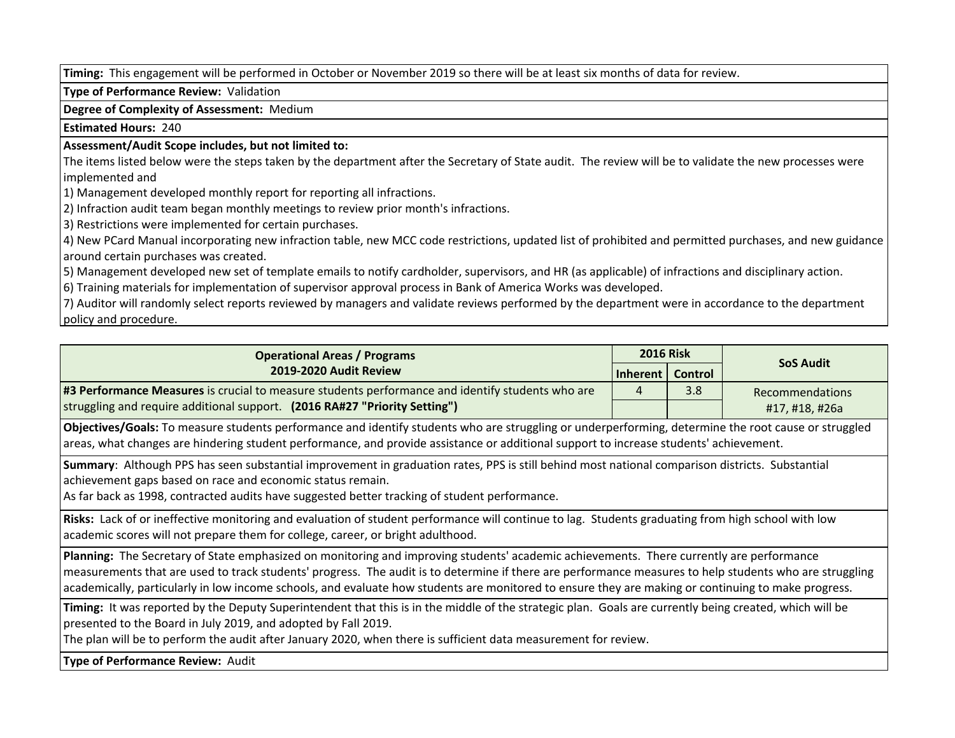**Timing:** This engagement will be performed in October or November 2019 so there will be at least six months of data for review.

**Type of Performance Review:** Validation

**Degree of Complexity of Assessment:** Medium

**Estimated Hours:** 240

#### **Assessment/Audit Scope includes, but not limited to:**

The items listed below were the steps taken by the department after the Secretary of State audit. The review will be to validate the new processes were implemented and

1) Management developed monthly report for reporting all infractions.

2) Infraction audit team began monthly meetings to review prior month's infractions.

3) Restrictions were implemented for certain purchases.

4) New PCard Manual incorporating new infraction table, new MCC code restrictions, updated list of prohibited and permitted purchases, and new guidance around certain purchases was created.

5) Management developed new set of template emails to notify cardholder, supervisors, and HR (as applicable) of infractions and disciplinary action.

6) Training materials for implementation of supervisor approval process in Bank of America Works was developed.

7) Auditor will randomly select reports reviewed by managers and validate reviews performed by the department were in accordance to the department **policy and procedure.** 

| <b>Operational Areas / Programs</b>                                                              | <b>2016 Risk</b>   |     |                        |
|--------------------------------------------------------------------------------------------------|--------------------|-----|------------------------|
| 2019-2020 Audit Review                                                                           | Inherent   Control |     | <b>SoS Audit</b>       |
| #3 Performance Measures is crucial to measure students performance and identify students who are |                    | 3.8 | <b>Recommendations</b> |
| struggling and require additional support. (2016 RA#27 "Priority Setting")                       |                    |     | #17, #18, #26a         |

**Objectives/Goals:** To measure students performance and identify students who are struggling or underperforming, determine the root cause or struggled areas, what changes are hindering student performance, and provide assistance or additional support to increase students' achievement.

**Summary**: Although PPS has seen substantial improvement in graduation rates, PPS is still behind most national comparison districts. Substantial achievement gaps based on race and economic status remain.

As far back as 1998, contracted audits have suggested better tracking of student performance.

**Risks:** Lack of or ineffective monitoring and evaluation of student performance will continue to lag. Students graduating from high school with low academic scores will not prepare them for college, career, or bright adulthood.

**Planning:** The Secretary of State emphasized on monitoring and improving students' academic achievements. There currently are performance measurements that are used to track students' progress. The audit is to determine if there are performance measures to help students who are struggling academically, particularly in low income schools, and evaluate how students are monitored to ensure they are making or continuing to make progress.

**Timing:** It was reported by the Deputy Superintendent that this is in the middle of the strategic plan. Goals are currently being created, which will be presented to the Board in July 2019, and adopted by Fall 2019.

The plan will be to perform the audit after January 2020, when there is sufficient data measurement for review.

**Type of Performance Review:** Audit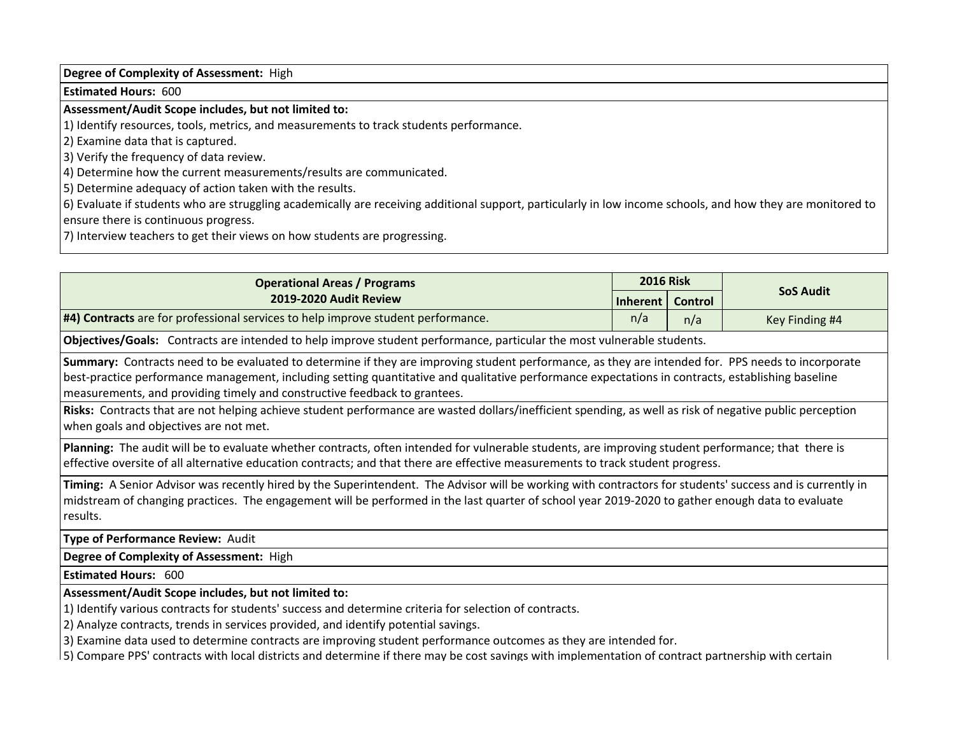**Degree of Complexity of Assessment:** High

**Estimated Hours:** 600

# **Assessment/Audit Scope includes, but not limited to:**

1) Identify resources, tools, metrics, and measurements to track students performance.

2) Examine data that is captured.

3) Verify the frequency of data review.

4) Determine how the current measurements/results are communicated.

5) Determine adequacy of action taken with the results.

6) Evaluate if students who are struggling academically are receiving additional support, particularly in low income schools, and how they are monitored to ensure there is continuous progress.

7) Interview teachers to get their views on how students are progressing.

| <b>Operational Areas / Programs</b>                                                                                                                                                                                                                                                                                                                                                                                                                                                                                            | <b>2016 Risk</b> |         |                  |
|--------------------------------------------------------------------------------------------------------------------------------------------------------------------------------------------------------------------------------------------------------------------------------------------------------------------------------------------------------------------------------------------------------------------------------------------------------------------------------------------------------------------------------|------------------|---------|------------------|
| 2019-2020 Audit Review                                                                                                                                                                                                                                                                                                                                                                                                                                                                                                         | Inherent         | Control | <b>SoS Audit</b> |
| #4) Contracts are for professional services to help improve student performance.                                                                                                                                                                                                                                                                                                                                                                                                                                               | n/a              | n/a     | Key Finding #4   |
| Objectives/Goals: Contracts are intended to help improve student performance, particular the most vulnerable students.                                                                                                                                                                                                                                                                                                                                                                                                         |                  |         |                  |
| Summary: Contracts need to be evaluated to determine if they are improving student performance, as they are intended for. PPS needs to incorporate<br>best-practice performance management, including setting quantitative and qualitative performance expectations in contracts, establishing baseline<br>measurements, and providing timely and constructive feedback to grantees.                                                                                                                                           |                  |         |                  |
| Risks: Contracts that are not helping achieve student performance are wasted dollars/inefficient spending, as well as risk of negative public perception<br>when goals and objectives are not met.                                                                                                                                                                                                                                                                                                                             |                  |         |                  |
| Planning: The audit will be to evaluate whether contracts, often intended for vulnerable students, are improving student performance; that there is<br>effective oversite of all alternative education contracts; and that there are effective measurements to track student progress.                                                                                                                                                                                                                                         |                  |         |                  |
| Timing: A Senior Advisor was recently hired by the Superintendent. The Advisor will be working with contractors for students' success and is currently in<br>midstream of changing practices. The engagement will be performed in the last quarter of school year 2019-2020 to gather enough data to evaluate<br>results.                                                                                                                                                                                                      |                  |         |                  |
| Type of Performance Review: Audit                                                                                                                                                                                                                                                                                                                                                                                                                                                                                              |                  |         |                  |
| Degree of Complexity of Assessment: High                                                                                                                                                                                                                                                                                                                                                                                                                                                                                       |                  |         |                  |
| <b>Estimated Hours: 600</b>                                                                                                                                                                                                                                                                                                                                                                                                                                                                                                    |                  |         |                  |
| Assessment/Audit Scope includes, but not limited to:<br>1) Identify various contracts for students' success and determine criteria for selection of contracts.<br>2) Analyze contracts, trends in services provided, and identify potential savings.<br>3) Examine data used to determine contracts are improving student performance outcomes as they are intended for.<br>5) Compare PPS' contracts with local districts and determine if there may be cost savings with implementation of contract partnership with certain |                  |         |                  |
|                                                                                                                                                                                                                                                                                                                                                                                                                                                                                                                                |                  |         |                  |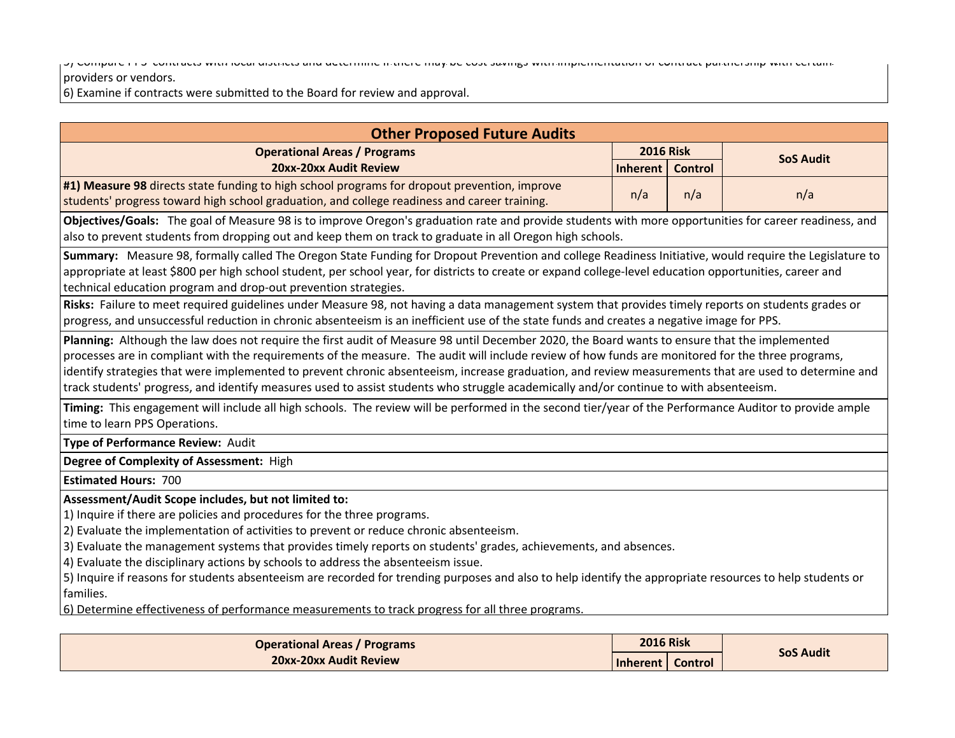5) Compare PPS' contracts with local districts and determine if there may be cost savings with implementation of contract partnership with certain

#### providers or vendors.

6) Examine if contracts were submitted to the Board for review and approval.

| <b>Other Proposed Future Audits</b>                                                                                                                       |                    |                |                  |
|-----------------------------------------------------------------------------------------------------------------------------------------------------------|--------------------|----------------|------------------|
| <b>Operational Areas / Programs</b>                                                                                                                       | <b>2016 Risk</b>   |                | <b>SoS Audit</b> |
| 20xx-20xx Audit Review                                                                                                                                    | <b>Inherent</b>    | <b>Control</b> |                  |
| #1) Measure 98 directs state funding to high school programs for dropout prevention, improve                                                              | n/a                | n/a            | n/a              |
| students' progress toward high school graduation, and college readiness and career training.                                                              |                    |                |                  |
| Objectives/Goals: The goal of Measure 98 is to improve Oregon's graduation rate and provide students with more opportunities for career readiness, and    |                    |                |                  |
| also to prevent students from dropping out and keep them on track to graduate in all Oregon high schools.                                                 |                    |                |                  |
| Summary: Measure 98, formally called The Oregon State Funding for Dropout Prevention and college Readiness Initiative, would require the Legislature to   |                    |                |                  |
| appropriate at least \$800 per high school student, per school year, for districts to create or expand college-level education opportunities, career and  |                    |                |                  |
| technical education program and drop-out prevention strategies.                                                                                           |                    |                |                  |
| Risks: Failure to meet required guidelines under Measure 98, not having a data management system that provides timely reports on students grades or       |                    |                |                  |
| progress, and unsuccessful reduction in chronic absenteeism is an inefficient use of the state funds and creates a negative image for PPS.                |                    |                |                  |
| Planning: Although the law does not require the first audit of Measure 98 until December 2020, the Board wants to ensure that the implemented             |                    |                |                  |
| processes are in compliant with the requirements of the measure. The audit will include review of how funds are monitored for the three programs,         |                    |                |                  |
| identify strategies that were implemented to prevent chronic absenteeism, increase graduation, and review measurements that are used to determine and     |                    |                |                  |
| track students' progress, and identify measures used to assist students who struggle academically and/or continue to with absenteeism.                    |                    |                |                  |
| Timing: This engagement will include all high schools. The review will be performed in the second tier/year of the Performance Auditor to provide ample   |                    |                |                  |
| time to learn PPS Operations.                                                                                                                             |                    |                |                  |
| Type of Performance Review: Audit                                                                                                                         |                    |                |                  |
| Degree of Complexity of Assessment: High                                                                                                                  |                    |                |                  |
| <b>Estimated Hours: 700</b>                                                                                                                               |                    |                |                  |
| Assessment/Audit Scope includes, but not limited to:                                                                                                      |                    |                |                  |
| 1) Inquire if there are policies and procedures for the three programs.                                                                                   |                    |                |                  |
| 2) Evaluate the implementation of activities to prevent or reduce chronic absenteeism.                                                                    |                    |                |                  |
| 3) Evaluate the management systems that provides timely reports on students' grades, achievements, and absences.                                          |                    |                |                  |
| 4) Evaluate the disciplinary actions by schools to address the absenteeism issue.                                                                         |                    |                |                  |
| 5) Inquire if reasons for students absenteeism are recorded for trending purposes and also to help identify the appropriate resources to help students or |                    |                |                  |
| families.                                                                                                                                                 |                    |                |                  |
| 6) Determine effectiveness of performance measurements to track progress for all three programs.                                                          |                    |                |                  |
| <b>Operational Areas / Programs</b>                                                                                                                       | <b>2016 Risk</b>   |                |                  |
| 20xx-20xx Audit Review                                                                                                                                    |                    |                | <b>SoS Audit</b> |
|                                                                                                                                                           | Inherent   Control |                |                  |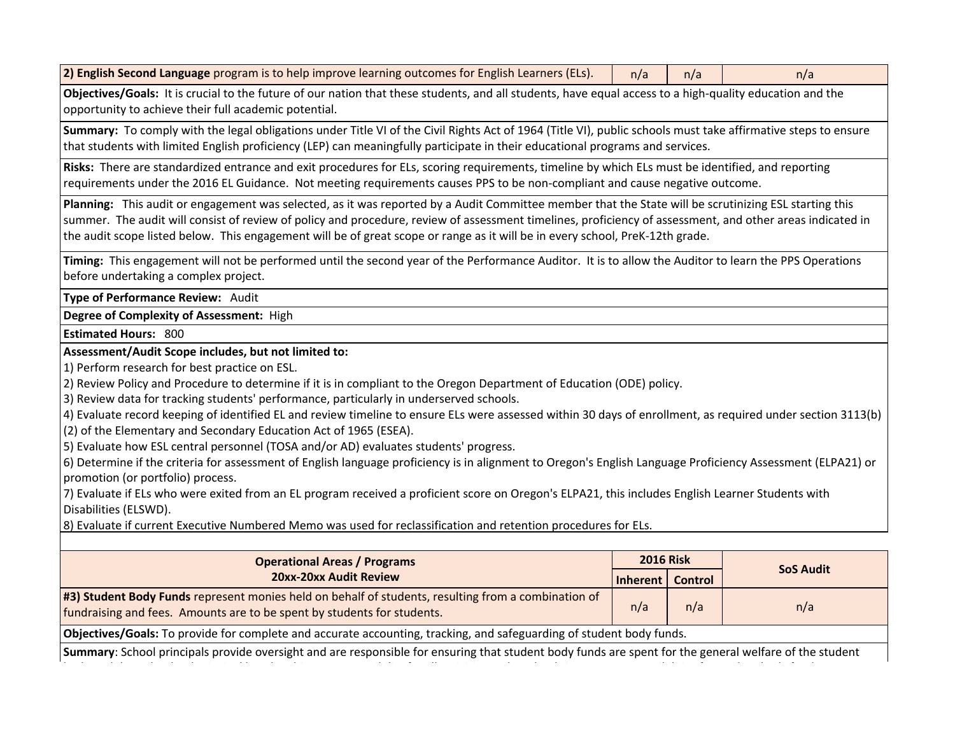| 2) English Second Language program is to help improve learning outcomes for English Learners (ELs). | n/a |  |  |  |
|-----------------------------------------------------------------------------------------------------|-----|--|--|--|
|-----------------------------------------------------------------------------------------------------|-----|--|--|--|

**Objectives/Goals:** It is crucial to the future of our nation that these students, and all students, have equal access to a high-quality education and the opportunity to achieve their full academic potential.

**Summary:** To comply with the legal obligations under Title VI of the Civil Rights Act of 1964 (Title VI), public schools must take affirmative steps to ensure that students with limited English proficiency (LEP) can meaningfully participate in their educational programs and services.

**Risks:** There are standardized entrance and exit procedures for ELs, scoring requirements, timeline by which ELs must be identified, and reporting requirements under the 2016 EL Guidance. Not meeting requirements causes PPS to be non-compliant and cause negative outcome.

**Planning:** This audit or engagement was selected, as it was reported by a Audit Committee member that the State will be scrutinizing ESL starting this summer. The audit will consist of review of policy and procedure, review of assessment timelines, proficiency of assessment, and other areas indicated in the audit scope listed below. This engagement will be of great scope or range as it will be in every school, PreK-12th grade.

**Timing:** This engagement will not be performed until the second year of the Performance Auditor. It is to allow the Auditor to learn the PPS Operations before undertaking a complex project.

**Type of Performance Review:** Audit

**Degree of Complexity of Assessment:** High

**Estimated Hours:** 800

**Assessment/Audit Scope includes, but not limited to:**

1) Perform research for best practice on ESL.

2) Review Policy and Procedure to determine if it is in compliant to the Oregon Department of Education (ODE) policy.

3) Review data for tracking students' performance, particularly in underserved schools.

4) Evaluate record keeping of identified EL and review timeline to ensure ELs were assessed within 30 days of enrollment, as required under section 3113(b)

(2) of the Elementary and Secondary Education Act of 1965 (ESEA).

5) Evaluate how ESL central personnel (TOSA and/or AD) evaluates students' progress.

6) Determine if the criteria for assessment of English language proficiency is in alignment to Oregon's English Language Proficiency Assessment (ELPA21) or promotion (or portfolio) process.

7) Evaluate if ELs who were exited from an EL program received a proficient score on Oregon's ELPA21, this includes English Learner Students with Disabilities (ELSWD).

8) Evaluate if current Executive Numbered Memo was used for reclassification and retention procedures for ELs.

| <b>Operational Areas / Programs</b>                                                                                         | <b>2016 Risk</b>   |     |                  |
|-----------------------------------------------------------------------------------------------------------------------------|--------------------|-----|------------------|
| 20xx-20xx Audit Review                                                                                                      | Inherent   Control |     | <b>SoS Audit</b> |
| #3) Student Body Funds represent monies held on behalf of students, resulting from a combination of                         | n/a                | n/a | n/a              |
| fundraising and fees. Amounts are to be spent by students for students.                                                     |                    |     |                  |
| <b>Objectives/Goals:</b> To provide for complete and accurate accounting, tracking, and safeguarding of student body funds. |                    |     |                  |

**Summary**: School principals provide oversight and are responsible for ensuring that student body funds are spent for the general welfare of the student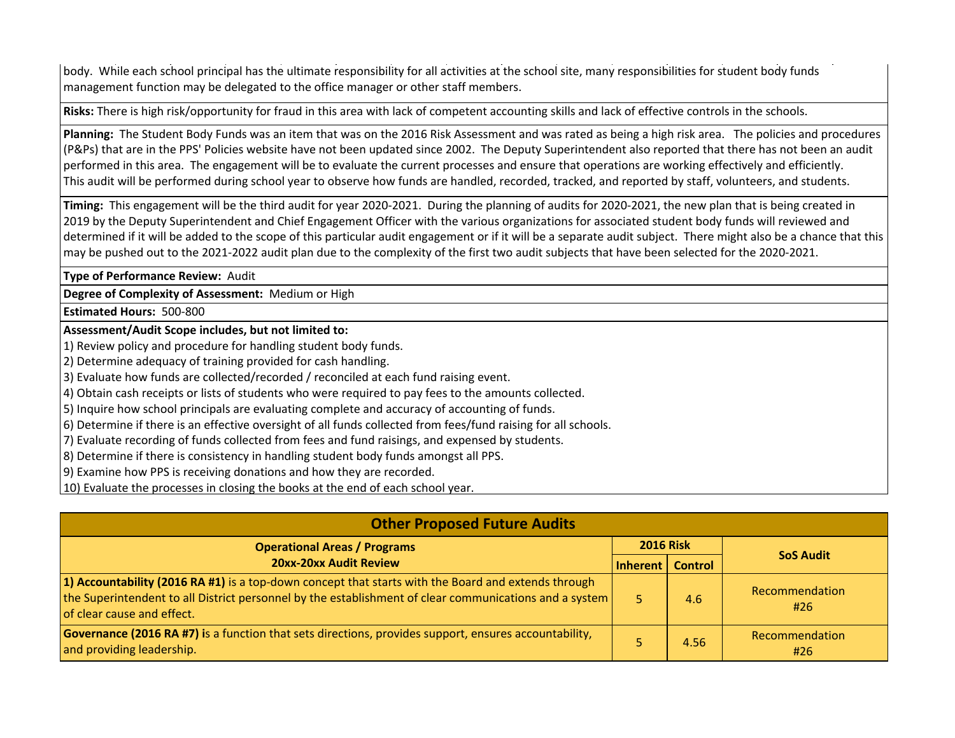body. While each school principal has the ultimate responsibility for all activities at the school site, many responsibilities for student body funds management function may be delegated to the office manager or other staff members.

**Risks:** There is high risk/opportunity for fraud in this area with lack of competent accounting skills and lack of effective controls in the schools.

**Planning:** The Student Body Funds was an item that was on the 2016 Risk Assessment and was rated as being a high risk area. The policies and procedures (P&Ps) that are in the PPS' Policies website have not been updated since 2002. The Deputy Superintendent also reported that there has not been an audit performed in this area. The engagement will be to evaluate the current processes and ensure that operations are working effectively and efficiently. This audit will be performed during school year to observe how funds are handled, recorded, tracked, and reported by staff, volunteers, and students.

**Timing:** This engagement will be the third audit for year 2020-2021. During the planning of audits for 2020-2021, the new plan that is being created in 2019 by the Deputy Superintendent and Chief Engagement Officer with the various organizations for associated student body funds will reviewed and determined if it will be added to the scope of this particular audit engagement or if it will be a separate audit subject. There might also be a chance that this may be pushed out to the 2021-2022 audit plan due to the complexity of the first two audit subjects that have been selected for the 2020-2021.

**Type of Performance Review:** Audit

**Degree of Complexity of Assessment:** Medium or High

**Estimated Hours:** 500-800

**Assessment/Audit Scope includes, but not limited to:**

1) Review policy and procedure for handling student body funds.

2) Determine adequacy of training provided for cash handling.

3) Evaluate how funds are collected/recorded / reconciled at each fund raising event.

4) Obtain cash receipts or lists of students who were required to pay fees to the amounts collected.

5) Inquire how school principals are evaluating complete and accuracy of accounting of funds.

6) Determine if there is an effective oversight of all funds collected from fees/fund raising for all schools.

7) Evaluate recording of funds collected from fees and fund raisings, and expensed by students.

8) Determine if there is consistency in handling student body funds amongst all PPS.

9) Examine how PPS is receiving donations and how they are recorded.

10) Evaluate the processes in closing the books at the end of each school year.

| <b>Other Proposed Future Audits</b>                                                                                                                                                                                                         |                    |                  |                       |
|---------------------------------------------------------------------------------------------------------------------------------------------------------------------------------------------------------------------------------------------|--------------------|------------------|-----------------------|
| <b>Operational Areas / Programs</b>                                                                                                                                                                                                         |                    | <b>2016 Risk</b> | <b>SoS Audit</b>      |
| 20xx-20xx Audit Review                                                                                                                                                                                                                      | Inherent   Control |                  |                       |
| 1) Accountability (2016 RA #1) is a top-down concept that starts with the Board and extends through<br>the Superintendent to all District personnel by the establishment of clear communications and a system<br>of clear cause and effect. |                    | 4.6              | Recommendation<br>#26 |
| <b>Governance (2016 RA #7) is a function that sets directions, provides support, ensures accountability,</b><br>and providing leadership.                                                                                                   |                    | 4.56             | Recommendation<br>#26 |